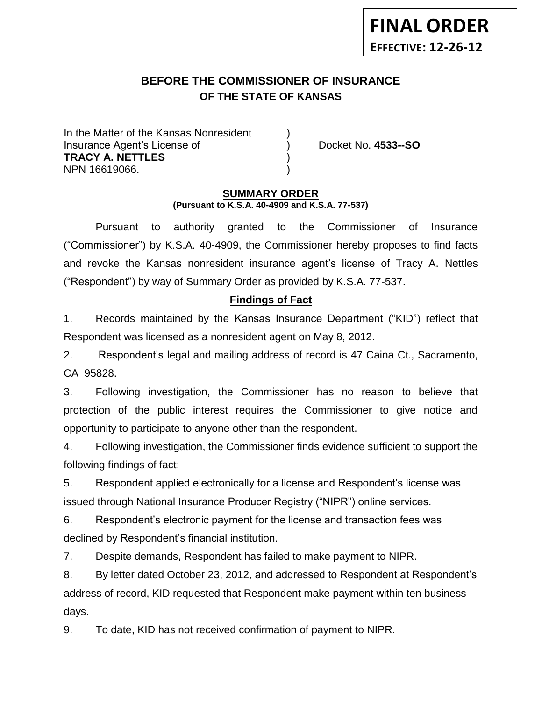# **BEFORE THE COMMISSIONER OF INSURANCE OF THE STATE OF KANSAS**

In the Matter of the Kansas Nonresident Insurance Agent's License of ) Docket No. **4533--SO TRACY A. NETTLES** ) NPN 16619066. )

**FINAL ORDER**

**EFFECTIVE: 12-26-12**

#### **SUMMARY ORDER (Pursuant to K.S.A. 40-4909 and K.S.A. 77-537)**

Pursuant to authority granted to the Commissioner of Insurance ("Commissioner") by K.S.A. 40-4909, the Commissioner hereby proposes to find facts and revoke the Kansas nonresident insurance agent's license of Tracy A. Nettles ("Respondent") by way of Summary Order as provided by K.S.A. 77-537.

### **Findings of Fact**

1. Records maintained by the Kansas Insurance Department ("KID") reflect that Respondent was licensed as a nonresident agent on May 8, 2012.

2. Respondent's legal and mailing address of record is 47 Caina Ct., Sacramento, CA 95828.

3. Following investigation, the Commissioner has no reason to believe that protection of the public interest requires the Commissioner to give notice and opportunity to participate to anyone other than the respondent.

4. Following investigation, the Commissioner finds evidence sufficient to support the following findings of fact:

5. Respondent applied electronically for a license and Respondent's license was issued through National Insurance Producer Registry ("NIPR") online services.

6. Respondent's electronic payment for the license and transaction fees was declined by Respondent's financial institution.

7. Despite demands, Respondent has failed to make payment to NIPR.

8. By letter dated October 23, 2012, and addressed to Respondent at Respondent's address of record, KID requested that Respondent make payment within ten business days.

9. To date, KID has not received confirmation of payment to NIPR.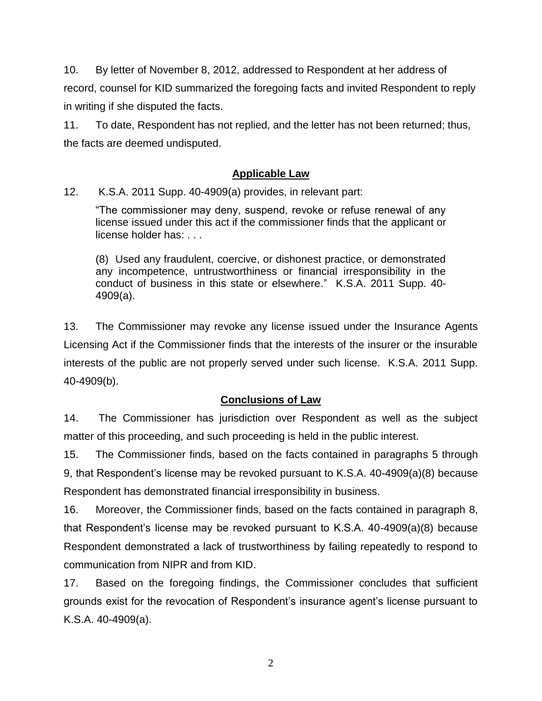10. By letter of November 8, 2012, addressed to Respondent at her address of record, counsel for KID summarized the foregoing facts and invited Respondent to reply in writing if she disputed the facts.

11. To date, Respondent has not replied, and the letter has not been returned; thus, the facts are deemed undisputed.

# **Applicable Law**

12. K.S.A. 2011 Supp. 40-4909(a) provides, in relevant part:

"The commissioner may deny, suspend, revoke or refuse renewal of any license issued under this act if the commissioner finds that the applicant or license holder has: . . .

(8) Used any fraudulent, coercive, or dishonest practice, or demonstrated any incompetence, untrustworthiness or financial irresponsibility in the conduct of business in this state or elsewhere." K.S.A. 2011 Supp. 40- 4909(a).

13. The Commissioner may revoke any license issued under the Insurance Agents Licensing Act if the Commissioner finds that the interests of the insurer or the insurable interests of the public are not properly served under such license. K.S.A. 2011 Supp. 40-4909(b).

### **Conclusions of Law**

14. The Commissioner has jurisdiction over Respondent as well as the subject matter of this proceeding, and such proceeding is held in the public interest.

15. The Commissioner finds, based on the facts contained in paragraphs 5 through 9, that Respondent's license may be revoked pursuant to K.S.A. 40-4909(a)(8) because Respondent has demonstrated financial irresponsibility in business.

16. Moreover, the Commissioner finds, based on the facts contained in paragraph 8, that Respondent's license may be revoked pursuant to K.S.A. 40-4909(a)(8) because Respondent demonstrated a lack of trustworthiness by failing repeatedly to respond to communication from NIPR and from KID.

17. Based on the foregoing findings, the Commissioner concludes that sufficient grounds exist for the revocation of Respondent's insurance agent's license pursuant to K.S.A. 40-4909(a).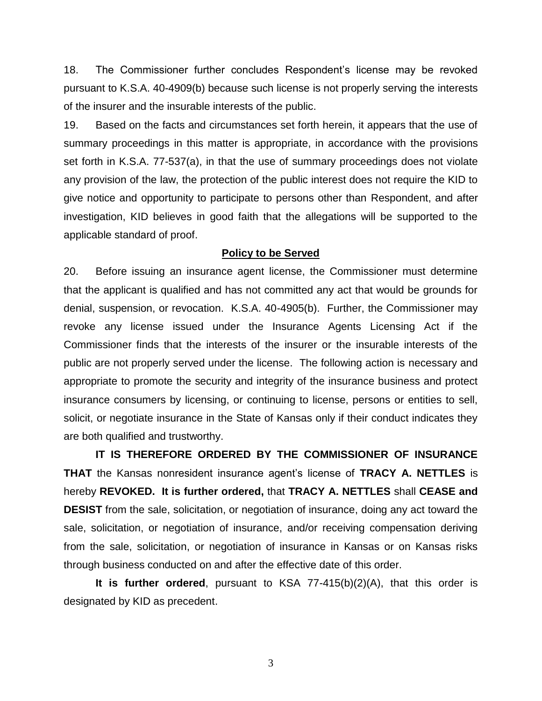18. The Commissioner further concludes Respondent's license may be revoked pursuant to K.S.A. 40-4909(b) because such license is not properly serving the interests of the insurer and the insurable interests of the public.

19. Based on the facts and circumstances set forth herein, it appears that the use of summary proceedings in this matter is appropriate, in accordance with the provisions set forth in K.S.A. 77-537(a), in that the use of summary proceedings does not violate any provision of the law, the protection of the public interest does not require the KID to give notice and opportunity to participate to persons other than Respondent, and after investigation, KID believes in good faith that the allegations will be supported to the applicable standard of proof.

#### **Policy to be Served**

20. Before issuing an insurance agent license, the Commissioner must determine that the applicant is qualified and has not committed any act that would be grounds for denial, suspension, or revocation. K.S.A. 40-4905(b). Further, the Commissioner may revoke any license issued under the Insurance Agents Licensing Act if the Commissioner finds that the interests of the insurer or the insurable interests of the public are not properly served under the license. The following action is necessary and appropriate to promote the security and integrity of the insurance business and protect insurance consumers by licensing, or continuing to license, persons or entities to sell, solicit, or negotiate insurance in the State of Kansas only if their conduct indicates they are both qualified and trustworthy.

**IT IS THEREFORE ORDERED BY THE COMMISSIONER OF INSURANCE THAT** the Kansas nonresident insurance agent's license of **TRACY A. NETTLES** is hereby **REVOKED. It is further ordered,** that **TRACY A. NETTLES** shall **CEASE and DESIST** from the sale, solicitation, or negotiation of insurance, doing any act toward the sale, solicitation, or negotiation of insurance, and/or receiving compensation deriving from the sale, solicitation, or negotiation of insurance in Kansas or on Kansas risks through business conducted on and after the effective date of this order.

**It is further ordered**, pursuant to KSA 77-415(b)(2)(A), that this order is designated by KID as precedent.

3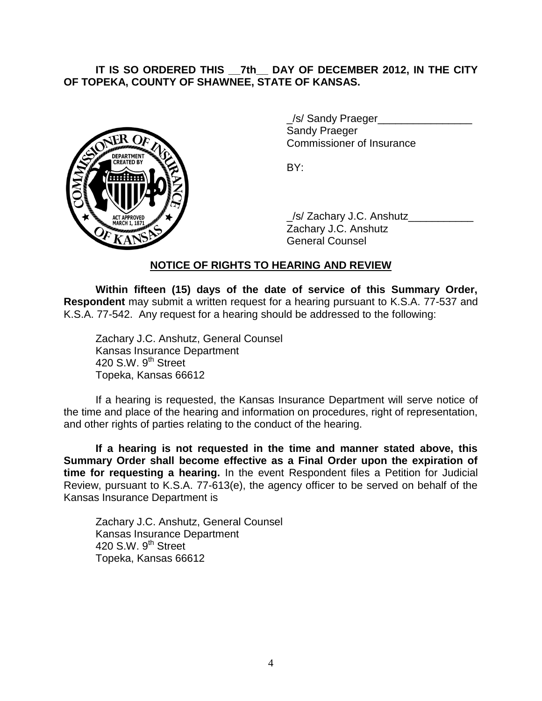# **IT IS SO ORDERED THIS \_\_7th\_\_ DAY OF DECEMBER 2012, IN THE CITY OF TOPEKA, COUNTY OF SHAWNEE, STATE OF KANSAS.**



/s/ Sandy Praeger Sandy Praeger Commissioner of Insurance

BY:

\_/s/ Zachary J.C. Anshutz\_\_\_\_\_\_\_\_\_\_\_ Zachary J.C. Anshutz General Counsel

# **NOTICE OF RIGHTS TO HEARING AND REVIEW**

**Within fifteen (15) days of the date of service of this Summary Order, Respondent** may submit a written request for a hearing pursuant to K.S.A. 77-537 and K.S.A. 77-542. Any request for a hearing should be addressed to the following:

Zachary J.C. Anshutz, General Counsel Kansas Insurance Department 420 S.W. 9<sup>th</sup> Street Topeka, Kansas 66612

If a hearing is requested, the Kansas Insurance Department will serve notice of the time and place of the hearing and information on procedures, right of representation, and other rights of parties relating to the conduct of the hearing.

**If a hearing is not requested in the time and manner stated above, this Summary Order shall become effective as a Final Order upon the expiration of time for requesting a hearing.** In the event Respondent files a Petition for Judicial Review, pursuant to K.S.A. 77-613(e), the agency officer to be served on behalf of the Kansas Insurance Department is

Zachary J.C. Anshutz, General Counsel Kansas Insurance Department 420 S.W.  $9<sup>th</sup>$  Street Topeka, Kansas 66612